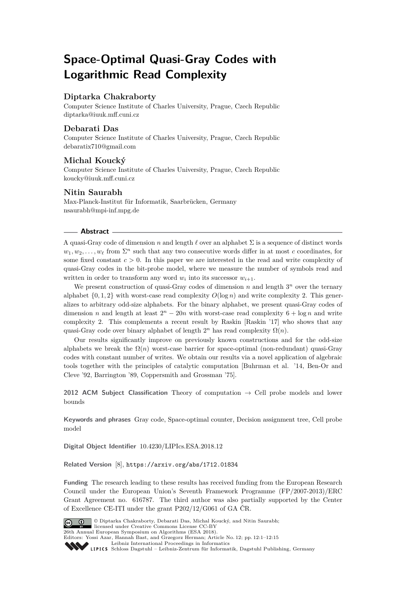# **Space-Optimal Quasi-Gray Codes with Logarithmic Read Complexity**

### **Diptarka Chakraborty**

Computer Science Institute of Charles University, Prague, Czech Republic [diptarka@iuuk.mff.cuni.cz](mailto:diptarka@iuuk.mff.cuni.cz)

### **Debarati Das**

Computer Science Institute of Charles University, Prague, Czech Republic [debaratix710@gmail.com](mailto:debaratix710@gmail.com)

### **Michal Koucký**

Computer Science Institute of Charles University, Prague, Czech Republic [koucky@iuuk.mff.cuni.cz](mailto:koucky@iuuk.mff.cuni.cz)

### **Nitin Saurabh**

Max-Planck-Institut für Informatik, Saarbrücken, Germany [nsaurabh@mpi-inf.mpg.de](mailto:nsaurabh@mpi-inf.mpg.de)

#### **Abstract**

A quasi-Gray code of dimension *n* and length  $\ell$  over an alphabet  $\Sigma$  is a sequence of distinct words  $w_1, w_2, \ldots, w_\ell$  from  $\Sigma^n$  such that any two consecutive words differ in at most *c* coordinates, for some fixed constant  $c > 0$ . In this paper we are interested in the read and write complexity of quasi-Gray codes in the bit-probe model, where we measure the number of symbols read and written in order to transform any word  $w_i$  into its successor  $w_{i+1}$ .

We present construction of quasi-Gray codes of dimension  $n$  and length  $3^n$  over the ternary alphabet  $\{0, 1, 2\}$  with worst-case read complexity  $O(\log n)$  and write complexity 2. This generalizes to arbitrary odd-size alphabets. For the binary alphabet, we present quasi-Gray codes of dimension *n* and length at least  $2^n - 20n$  with worst-case read complexity  $6 + \log n$  and write complexity 2. This complements a recent result by Raskin [Raskin '17] who shows that any quasi-Gray code over binary alphabet of length  $2^n$  has read complexity  $\Omega(n)$ .

Our results significantly improve on previously known constructions and for the odd-size alphabets we break the  $\Omega(n)$  worst-case barrier for space-optimal (non-redundant) quasi-Gray codes with constant number of writes. We obtain our results via a novel application of algebraic tools together with the principles of catalytic computation [Buhrman et al. '14, Ben-Or and Cleve '92, Barrington '89, Coppersmith and Grossman '75].

**2012 ACM Subject Classification** Theory of computation → Cell probe models and lower bounds

**Keywords and phrases** Gray code, Space-optimal counter, Decision assignment tree, Cell probe model

**Digital Object Identifier** [10.4230/LIPIcs.ESA.2018.12](http://dx.doi.org/10.4230/LIPIcs.ESA.2018.12)

**Related Version** [\[8\]](#page-12-0), <https://arxiv.org/abs/1712.01834>

**Funding** The research leading to these results has received funding from the European Research Council under the European Union's Seventh Framework Programme (FP/2007-2013)/ERC Grant Agreement no. 616787. The third author was also partially supported by the Center of Excellence CE-ITI under the grant P202/12/G061 of GA ČR.



© Diptarka Chakraborty, Debarati Das, Michal Koucký, and Nitin Saurabh; licensed under Creative Commons License CC-BY 26th Annual European Symposium on Algorithms (ESA 2018). Editors: Yossi Azar, Hannah Bast, and Grzegorz Herman; Article No. 12; pp. 12:1–12[:15](#page-14-0) [Leibniz International Proceedings in Informatics](http://www.dagstuhl.de/lipics/)

Leibniz International Froceedings in Informatik, Dagstuhl Publishing, Germany<br>LIPICS [Schloss Dagstuhl – Leibniz-Zentrum für Informatik, Dagstuhl Publishing, Germany](http://www.dagstuhl.de)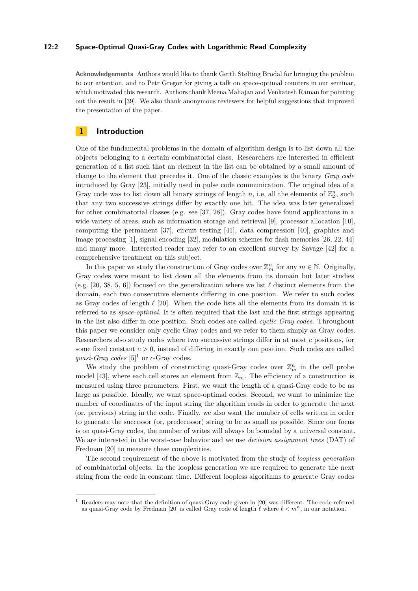#### **12:2 Space-Optimal Quasi-Gray Codes with Logarithmic Read Complexity**

**Acknowledgements** Authors would like to thank Gerth Stølting Brodal for bringing the problem to our attention, and to Petr Gregor for giving a talk on space-optimal counters in our seminar, which motivated this research. Authors thank Meena Mahajan and Venkatesh Raman for pointing out the result in [\[39\]](#page-13-0). We also thank anonymous reviewers for helpful suggestions that improved the presentation of the paper.

### **1 Introduction**

One of the fundamental problems in the domain of algorithm design is to list down all the objects belonging to a certain combinatorial class. Researchers are interested in efficient generation of a list such that an element in the list can be obtained by a small amount of change to the element that precedes it. One of the classic examples is the binary *Gray code* introduced by Gray [\[23\]](#page-13-1), initially used in pulse code communication. The original idea of a Gray code was to list down all binary strings of length  $n$ , i.e, all the elements of  $\mathbb{Z}_2^n$ , such that any two successive strings differ by exactly one bit. The idea was later generalized for other combinatorial classes (e.g. see [\[37,](#page-13-2) [28\]](#page-13-3)). Gray codes have found applications in a wide variety of areas, such as information storage and retrieval [\[9\]](#page-12-1), processor allocation [\[10\]](#page-12-2), computing the permanent [\[37\]](#page-13-2), circuit testing [\[41\]](#page-14-1), data compression [\[40\]](#page-13-4), graphics and image processing [\[1\]](#page-12-3), signal encoding [\[32\]](#page-13-5), modulation schemes for flash memories [\[26,](#page-13-6) [22,](#page-13-7) [44\]](#page-14-2) and many more. Interested reader may refer to an excellent survey by Savage [\[42\]](#page-14-3) for a comprehensive treatment on this subject.

In this paper we study the construction of Gray codes over  $\mathbb{Z}_m^n$  for any  $m \in \mathbb{N}$ . Originally, Gray codes were meant to list down all the elements from its domain but later studies (e.g. [\[20,](#page-12-4) [38,](#page-13-8) [5,](#page-12-5) [6\]](#page-12-6)) focused on the generalization where we list  $\ell$  distinct elements from the domain, each two consecutive elements differing in one position. We refer to such codes as Gray codes of length  $\ell$  [\[20\]](#page-12-4). When the code lists all the elements from its domain it is referred to as *space-optimal*. It is often required that the last and the first strings appearing in the list also differ in one position. Such codes are called *cyclic Gray codes*. Throughout this paper we consider only cyclic Gray codes and we refer to them simply as Gray codes. Researchers also study codes where two successive strings differ in at most *c* positions, for some fixed constant  $c > 0$ , instead of differing in exactly one position. Such codes are called *quasi-Gray codes* [\[5\]](#page-12-5)<sup>[1](#page-1-0)</sup> or *c*-Gray codes.

We study the problem of constructing quasi-Gray codes over  $\mathbb{Z}_m^n$  in the cell probe model [\[43\]](#page-14-4), where each cell stores an element from  $\mathbb{Z}_m$ . The efficiency of a construction is measured using three parameters. First, we want the length of a quasi-Gray code to be as large as possible. Ideally, we want space-optimal codes. Second, we want to minimize the number of coordinates of the input string the algorithm reads in order to generate the next (or, previous) string in the code. Finally, we also want the number of cells written in order to generate the successor (or, predecessor) string to be as small as possible. Since our focus is on quasi-Gray codes, the number of writes will always be bounded by a universal constant. We are interested in the worst-case behavior and we use *decision assignment trees* (DAT) of Fredman [\[20\]](#page-12-4) to measure these complexities.

The second requirement of the above is motivated from the study of *loopless generation* of combinatorial objects. In the loopless generation we are required to generate the next string from the code in constant time. Different loopless algorithms to generate Gray codes

<span id="page-1-0"></span><sup>1</sup> Readers may note that the definition of quasi-Gray code given in [\[20\]](#page-12-4) was different. The code referred as quasi-Gray code by Fredman [\[20\]](#page-12-4) is called Gray code of length  $\ell$  where  $\ell < m^n$ , in our notation.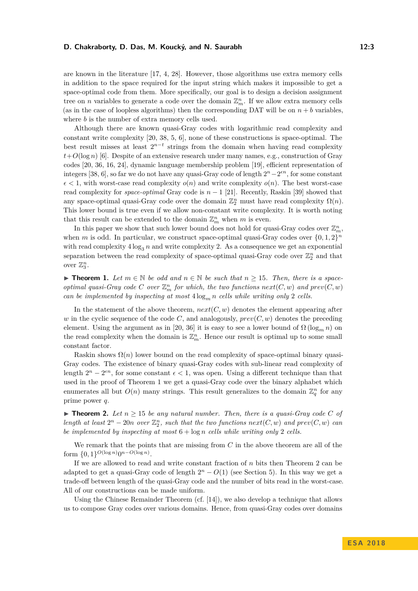are known in the literature [\[17,](#page-12-7) [4,](#page-12-8) [28\]](#page-13-3). However, those algorithms use extra memory cells in addition to the space required for the input string which makes it impossible to get a space-optimal code from them. More specifically, our goal is to design a decision assignment tree on *n* variables to generate a code over the domain  $\mathbb{Z}_m^n$ . If we allow extra memory cells (as in the case of loopless algorithms) then the corresponding DAT will be on  $n + b$  variables, where *b* is the number of extra memory cells used.

Although there are known quasi-Gray codes with logarithmic read complexity and constant write complexity [\[20,](#page-12-4) [38,](#page-13-8) [5,](#page-12-5) [6\]](#page-12-6), none of these constructions is space-optimal. The best result misses at least  $2^{n-t}$  strings from the domain when having read complexity  $t+O(\log n)$  [\[6\]](#page-12-6). Despite of an extensive research under many names, e.g., construction of Gray codes [\[20,](#page-12-4) [36,](#page-13-9) [16,](#page-12-9) [24\]](#page-13-10), dynamic language membership problem [\[19\]](#page-12-10), efficient representation of integers [\[38,](#page-13-8) [6\]](#page-12-6), so far we do not have any quasi-Gray code of length  $2^{n}-2^{\epsilon n}$ , for some constant  $\epsilon$  < 1, with worst-case read complexity  $o(n)$  and write complexity  $o(n)$ . The best worst-case read complexity for *space-optimal* Gray code is  $n-1$  [\[21\]](#page-13-11). Recently, Raskin [\[39\]](#page-13-0) showed that any space-optimal quasi-Gray code over the domain  $\mathbb{Z}_2^n$  must have read complexity  $\Omega(n)$ . This lower bound is true even if we allow non-constant write complexity. It is worth noting that this result can be extended to the domain  $\mathbb{Z}_m^n$  when  $m$  is even.

In this paper we show that such lower bound does not hold for quasi-Gray codes over  $\mathbb{Z}_m^n$ , when *m* is odd. In particular, we construct space-optimal quasi-Gray codes over  $\{0, 1, 2\}^n$ with read complexity  $4 \log_3 n$  and write complexity 2. As a consequence we get an exponential separation between the read complexity of space-optimal quasi-Gray code over  $\mathbb{Z}_2^n$  and that over  $\mathbb{Z}_3^n$ .

<span id="page-2-0"></span>▶ **Theorem 1.** Let  $m \in \mathbb{N}$  be odd and  $n \in \mathbb{N}$  be such that  $n \geq 15$ . Then, there is a space*optimal quasi-Gray code C over*  $\mathbb{Z}_m^n$  *for which, the two functions*  $next(C, w)$  *and*  $prev(C, w)$ *can be implemented by inspecting at most* 4 log*<sup>m</sup> n cells while writing only* 2 *cells.*

In the statement of the above theorem,  $next(C, w)$  denotes the element appearing after *w* in the cyclic sequence of the code *C*, and analogously,  $prev(C, w)$  denotes the preceding element. Using the argument as in [\[20,](#page-12-4) [36\]](#page-13-9) it is easy to see a lower bound of  $\Omega(\log_m n)$  on the read complexity when the domain is  $\mathbb{Z}_m^n$ . Hence our result is optimal up to some small constant factor.

Raskin shows  $\Omega(n)$  lower bound on the read complexity of space-optimal binary quasi-Gray codes. The existence of binary quasi-Gray codes with sub-linear read complexity of length  $2^n - 2^{\epsilon n}$ , for some constant  $\epsilon < 1$ , was open. Using a different technique than that used in the proof of Theorem [1](#page-2-0) we get a quasi-Gray code over the binary alphabet which enumerates all but  $O(n)$  many strings. This result generalizes to the domain  $\mathbb{Z}_q^n$  for any prime power *q*.

<span id="page-2-1"></span> $\triangleright$  **Theorem 2.** Let  $n \geq 15$  be any natural number. Then, there is a quasi-Gray code C of *length at least*  $2^n - 20n$  *over*  $\mathbb{Z}_2^n$ *, such that the two functions*  $next(C, w)$  *and*  $prev(C, w)$  *can be implemented by inspecting at most* 6 + log *n cells while writing only* 2 *cells.*

We remark that the points that are missing from *C* in the above theorem are all of the form  $\{0, 1\}^{O(\log n)} 0^{n - O(\log n)}$ .

If we are allowed to read and write constant fraction of *n* bits then Theorem [2](#page-2-1) can be adapted to get a quasi-Gray code of length  $2<sup>n</sup> - O(1)$  (see Section [5\)](#page-9-0). In this way we get a trade-off between length of the quasi-Gray code and the number of bits read in the worst-case. All of our constructions can be made uniform.

Using the Chinese Remainder Theorem (cf. [\[14\]](#page-12-11)), we also develop a technique that allows us to compose Gray codes over various domains. Hence, from quasi-Gray codes over domains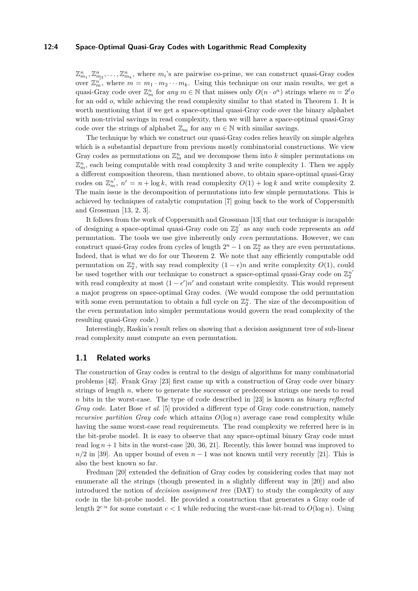#### **12:4 Space-Optimal Quasi-Gray Codes with Logarithmic Read Complexity**

 $\mathbb{Z}_{m_1}^n, \mathbb{Z}_{m_2}^n, \ldots, \mathbb{Z}_{m_k}^n$ , where  $m_i$ 's are pairwise co-prime, we can construct quasi-Gray codes over  $\mathbb{Z}_m^{n'}$ , where  $m = m_1 \cdot m_2 \cdots m_k$ . Using this technique on our main results, we get a quasi-Gray code over  $\mathbb{Z}_m^n$  for *any*  $m \in \mathbb{N}$  that misses only  $O(n \cdot o^n)$  strings where  $m = 2^{\ell} o$ for an odd *o*, while achieving the read complexity similar to that stated in Theorem [1.](#page-2-0) It is worth mentioning that if we get a space-optimal quasi-Gray code over the binary alphabet with non-trivial savings in read complexity, then we will have a space-optimal quasi-Gray code over the strings of alphabet  $\mathbb{Z}_m$  for any  $m \in \mathbb{N}$  with similar savings.

The technique by which we construct our quasi-Gray codes relies heavily on simple algebra which is a substantial departure from previous mostly combinatorial constructions. We view Gray codes as permutations on  $\mathbb{Z}_m^n$  and we decompose them into  $k$  simpler permutations on  $\mathbb{Z}_m^n$ , each being computable with read complexity 3 and write complexity 1. Then we apply a different composition theorem, than mentioned above, to obtain space-optimal quasi-Gray codes on  $\mathbb{Z}_m^{n'}$ ,  $n' = n + \log k$ , with read complexity  $O(1) + \log k$  and write complexity 2. The main issue is the decomposition of permutations into few simple permutations. This is achieved by techniques of catalytic computation [\[7\]](#page-12-12) going back to the work of Coppersmith and Grossman [\[13,](#page-12-13) [2,](#page-12-14) [3\]](#page-12-15).

It follows from the work of Coppersmith and Grossman [\[13\]](#page-12-13) that our technique is incapable of designing a space-optimal quasi-Gray code on  $\mathbb{Z}_2^{n'}$  as any such code represents an *oda* permutation. The tools we use give inherently only *even* permutations. However, we can construct quasi-Gray codes from cycles of length  $2^n - 1$  on  $\mathbb{Z}_2^n$  as they are even permutations. Indeed, that is what we do for our Theorem [2.](#page-2-1) We note that any efficiently computable odd permutation on  $\mathbb{Z}_2^n$ , with say read complexity  $(1 - \epsilon)n$  and write complexity  $O(1)$ , could be used together with our technique to construct a space-optimal quasi-Gray code on  $\mathbb{Z}_2^{n'}$ with read complexity at most  $(1 - \epsilon')n'$  and constant write complexity. This would represent a major progress on space-optimal Gray codes. (We would compose the odd permutation with some even permutation to obtain a full cycle on  $\mathbb{Z}_2^n$ . The size of the decomposition of the even permutation into simpler permutations would govern the read complexity of the resulting quasi-Gray code.)

Interestingly, Raskin's result relies on showing that a decision assignment tree of sub-linear read complexity must compute an even permutation.

### **1.1 Related works**

The construction of Gray codes is central to the design of algorithms for many combinatorial problems [\[42\]](#page-14-3). Frank Gray [\[23\]](#page-13-1) first came up with a construction of Gray code over binary strings of length *n*, where to generate the successor or predecessor strings one needs to read *n* bits in the worst-case. The type of code described in [\[23\]](#page-13-1) is known as *binary reflected Gray code*. Later Bose *et al.* [\[5\]](#page-12-5) provided a different type of Gray code construction, namely *recursive partition Gray code* which attains  $O(\log n)$  average case read complexity while having the same worst-case read requirements. The read complexity we referred here is in the bit-probe model. It is easy to observe that any space-optimal binary Gray code must read  $\log n + 1$  bits in the worst-case [\[20,](#page-12-4) [36,](#page-13-9) [21\]](#page-13-11). Recently, this lower bound was improved to  $n/2$  in [\[39\]](#page-13-0). An upper bound of even  $n-1$  was not known until very recently [\[21\]](#page-13-11). This is also the best known so far.

Fredman [\[20\]](#page-12-4) extended the definition of Gray codes by considering codes that may not enumerate all the strings (though presented in a slightly different way in [\[20\]](#page-12-4)) and also introduced the notion of *decision assignment tree* (DAT) to study the complexity of any code in the bit-probe model. He provided a construction that generates a Gray code of length  $2^{c \cdot n}$  for some constant  $c < 1$  while reducing the worst-case bit-read to  $O(\log n)$ . Using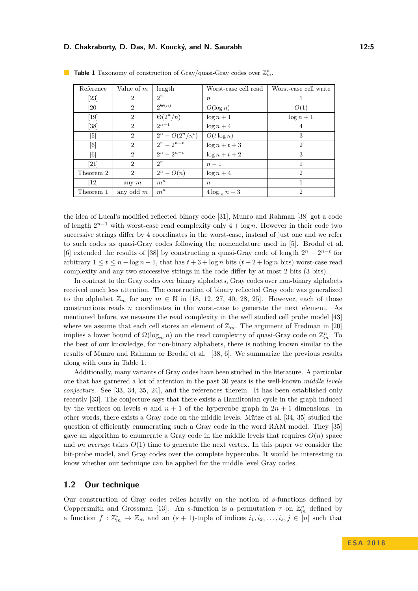| Reference          | Value of $m$                | length                   | Worst-case cell read | Worst-case cell write       |
|--------------------|-----------------------------|--------------------------|----------------------|-----------------------------|
| $[23]$             | $\overline{2}$              | $2^n$                    | $n_{\rm c}$          |                             |
| [20]               | $\overline{2}$              | $2^{\Theta(n)}$          | $O(\log n)$          | O(1)                        |
| $[19]$             | $\overline{2}$              | $\Theta(2^n/n)$          | $\log n + 1$         | $\log n + 1$                |
| [38]               | $\overline{2}$              | $2^{n-1}$                | $\log n + 4$         | $\overline{4}$              |
| [5]                | $\overline{2}$              | $2^{n} - O(2^{n}/n^{t})$ | $O(t \log n)$        | 3                           |
| [6]                | $\overline{2}$              | $2^n - 2^{n-t}$          | $\log n + t + 3$     | $\overline{2}$              |
| [6]                | $\mathcal{D}_{\mathcal{L}}$ | $2^n - 2^{n-t}$          | $\log n + t + 2$     | 3                           |
| $\left[ 21\right]$ | $\mathcal{D}_{\mathcal{L}}$ | $2^n$                    | $n-1$                | 1                           |
| Theorem 2          | $\overline{2}$              | $2^n - O(n)$             | $\log n + 4$         | $\mathcal{D}_{\mathcal{L}}$ |
| $\left[12\right]$  | any $m$                     | $m^n$                    | $n_{\rm c}$          | 1                           |
| Theorem 1          | any odd $m$                 | $m^n$                    | $4\log_m n+3$        | $\overline{2}$              |

<span id="page-4-0"></span>**Table 1** Taxonomy of construction of Gray/quasi-Gray codes over  $\mathbb{Z}_m^n$ .

the idea of Lucal's modified reflected binary code [\[31\]](#page-13-12), Munro and Rahman [\[38\]](#page-13-8) got a code of length  $2^{n-1}$  with worst-case read complexity only  $4 + \log n$ . However in their code two successive strings differ by 4 coordinates in the worst-case, instead of just one and we refer to such codes as quasi-Gray codes following the nomenclature used in [\[5\]](#page-12-5). Brodal et al. [\[6\]](#page-12-6) extended the results of [\[38\]](#page-13-8) by constructing a quasi-Gray code of length  $2^n - 2^{n-t}$  for arbitrary  $1 \le t \le n - \log n - 1$ , that has  $t + 3 + \log n$  bits  $(t + 2 + \log n$  bits) worst-case read complexity and any two successive strings in the code differ by at most 2 bits (3 bits).

In contrast to the Gray codes over binary alphabets, Gray codes over non-binary alphabets received much less attention. The construction of binary reflected Gray code was generalized to the alphabet  $\mathbb{Z}_m$  for any  $m \in \mathbb{N}$  in [\[18,](#page-12-17) [12,](#page-12-16) [27,](#page-13-13) [40,](#page-13-4) [28,](#page-13-3) [25\]](#page-13-14). However, each of those constructions reads *n* coordinates in the worst-case to generate the next element. As mentioned before, we measure the read complexity in the well studied cell probe model [\[43\]](#page-14-4) where we assume that each cell stores an element of  $\mathbb{Z}_m$ . The argument of Fredman in [\[20\]](#page-12-4) implies a lower bound of  $\Omega(\log_m n)$  on the read complexity of quasi-Gray code on  $\mathbb{Z}_m^n$ . To the best of our knowledge, for non-binary alphabets, there is nothing known similar to the results of Munro and Rahman or Brodal et al. [\[38,](#page-13-8) [6\]](#page-12-6). We summarize the previous results along with ours in Table [1.](#page-4-0)

Additionally, many variants of Gray codes have been studied in the literature. A particular one that has garnered a lot of attention in the past 30 years is the well-known *middle levels conjecture*. See [\[33,](#page-13-15) [34,](#page-13-16) [35,](#page-13-17) [24\]](#page-13-10), and the references therein. It has been established only recently [\[33\]](#page-13-15). The conjecture says that there exists a Hamiltonian cycle in the graph induced by the vertices on levels *n* and  $n + 1$  of the hypercube graph in  $2n + 1$  dimensions. In other words, there exists a Gray code on the middle levels. Mütze et al. [\[34,](#page-13-16) [35\]](#page-13-17) studied the question of efficiently enumerating such a Gray code in the word RAM model. They [\[35\]](#page-13-17) gave an algorithm to enumerate a Gray code in the middle levels that requires  $O(n)$  space and *on average* takes  $O(1)$  time to generate the next vertex. In this paper we consider the bit-probe model, and Gray codes over the complete hypercube. It would be interesting to know whether our technique can be applied for the middle level Gray codes.

### <span id="page-4-1"></span>**1.2 Our technique**

Our construction of Gray codes relies heavily on the notion of *s*-functions defined by Coppersmith and Grossman [\[13\]](#page-12-13). An *s*-function is a permutation  $\tau$  on  $\mathbb{Z}_m^n$  defined by a function  $f: \mathbb{Z}_m^s \to \mathbb{Z}_m$  and an  $(s + 1)$ -tuple of indices  $i_1, i_2, \ldots, i_s, j \in [n]$  such that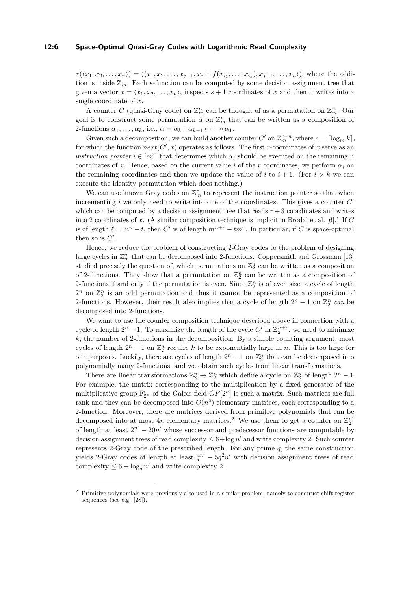#### **12:6 Space-Optimal Quasi-Gray Codes with Logarithmic Read Complexity**

 $\tau(\langle x_1, x_2, \ldots, x_n \rangle) = (\langle x_1, x_2, \ldots, x_{j-1}, x_j + f(x_{i_1}, \ldots, x_{i_s}), x_{j+1}, \ldots, x_n \rangle)$ , where the addition is inside  $\mathbb{Z}_m$ . Each *s*-function can be computed by some decision assignment tree that given a vector  $x = \langle x_1, x_2, \ldots, x_n \rangle$ , inspects  $s + 1$  coordinates of x and then it writes into a single coordinate of *x*.

A counter *C* (quasi-Gray code) on  $\mathbb{Z}_m^n$  can be thought of as a permutation on  $\mathbb{Z}_m^n$ . Our goal is to construct some permutation  $\alpha$  on  $\mathbb{Z}_m^n$  that can be written as a composition of 2-functions  $\alpha_1, \ldots, \alpha_k$ , i.e.,  $\alpha = \alpha_k \circ \alpha_{k-1} \circ \cdots \circ \alpha_1$ .

Given such a decomposition, we can build another counter  $C'$  on  $\mathbb{Z}_m^{r+n}$ , where  $r = \lceil \log_m k \rceil$ , for which the function  $next(C', x)$  operates as follows. The first *r*-coordinates of *x* serve as an *instruction pointer*  $i \in [m^r]$  that determines which  $\alpha_i$  should be executed on the remaining *n* coordinates of x. Hence, based on the current value *i* of the r coordinates, we perform  $\alpha_i$  on the remaining coordinates and then we update the value of  $i$  to  $i + 1$ . (For  $i > k$  we can execute the identity permutation which does nothing.)

We can use known Gray codes on  $\mathbb{Z}_m^r$  to represent the instruction pointer so that when incrementing *i* we only need to write into one of the coordinates. This gives a counter  $C'$ which can be computed by a decision assignment tree that reads  $r + 3$  coordinates and writes into 2 coordinates of *x*. (A similar composition technique is implicit in Brodal et al. [\[6\]](#page-12-6).) If *C* is of length  $\ell = m^n - t$ , then *C'* is of length  $m^{n+r} - tm^r$ . In particular, if *C* is space-optimal then so is  $C'$ .

Hence, we reduce the problem of constructing 2-Gray codes to the problem of designing large cycles in  $\mathbb{Z}_m^n$  that can be decomposed into 2-functions. Coppersmith and Grossman [\[13\]](#page-12-13) studied precisely the question of, which permutations on  $\mathbb{Z}_2^n$  can be written as a composition of 2-functions. They show that a permutation on  $\mathbb{Z}_2^n$  can be written as a composition of 2-functions if and only if the permutation is even. Since  $\mathbb{Z}_2^n$  is of even size, a cycle of length  $2^n$  on  $\mathbb{Z}_2^n$  is an odd permutation and thus it cannot be represented as a composition of 2-functions. However, their result also implies that a cycle of length  $2^n - 1$  on  $\mathbb{Z}_2^n$  can be decomposed into 2-functions.

We want to use the counter composition technique described above in connection with a cycle of length  $2^n - 1$ . To maximize the length of the cycle  $C'$  in  $\mathbb{Z}_2^{n+r}$ , we need to minimize *k*, the number of 2-functions in the decomposition. By a simple counting argument, most cycles of length  $2^n - 1$  on  $\mathbb{Z}_2^n$  require *k* to be exponentially large in *n*. This is too large for our purposes. Luckily, there are cycles of length  $2^n - 1$  on  $\mathbb{Z}_2^n$  that can be decomposed into polynomially many 2-functions, and we obtain such cycles from linear transformations.

There are linear transformations  $\mathbb{Z}_2^n \to \mathbb{Z}_2^n$  which define a cycle on  $\mathbb{Z}_2^n$  of length  $2^n - 1$ . For example, the matrix corresponding to the multiplication by a fixed generator of the multiplicative group  $\mathbb{F}_{2^n}^*$  of the Galois field  $GF[2^n]$  is such a matrix. Such matrices are full rank and they can be decomposed into  $O(n^2)$  elementary matrices, each corresponding to a 2-function. Moreover, there are matrices derived from primitive polynomials that can be decomposed into at most  $4n$  elementary matrices.<sup>[2](#page-5-0)</sup> We use them to get a counter on  $\mathbb{Z}_2^{n'}$ of length at least  $2^{n'} - 20n'$  whose successor and predecessor functions are computable by decision assignment trees of read complexity  $\leq 6 + \log n'$  and write complexity 2. Such counter represents 2-Gray code of the prescribed length. For any prime *q*, the same construction yields 2-Gray codes of length at least  $q^{n'} - 5q^2n'$  with decision assignment trees of read complexity  $\leq 6 + \log_q n'$  and write complexity 2.

<span id="page-5-0"></span><sup>2</sup> Primitive polynomials were previously also used in a similar problem, namely to construct shift-register sequences (see e.g. [\[28\]](#page-13-3)).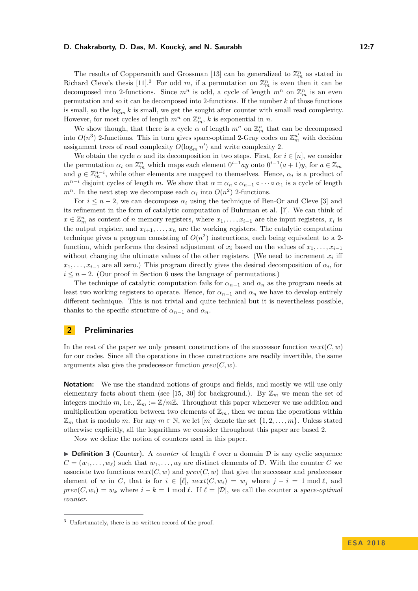The results of Coppersmith and Grossman [\[13\]](#page-12-13) can be generalized to  $\mathbb{Z}_m^n$  as stated in Richard Cleve's thesis [\[11\]](#page-12-18).<sup>[3](#page-6-0)</sup> For odd *m*, if a permutation on  $\mathbb{Z}_m^n$  is even then it can be decomposed into 2-functions. Since  $m^n$  is odd, a cycle of length  $m^n$  on  $\mathbb{Z}_m^n$  is an even permutation and so it can be decomposed into 2-functions. If the number *k* of those functions is small, so the  $\log_m k$  is small, we get the sought after counter with small read complexity. However, for most cycles of length  $m^n$  on  $\mathbb{Z}_m^n$ , k is exponential in *n*.

We show though, that there is a cycle  $\alpha$  of length  $m^n$  on  $\mathbb{Z}_m^n$  that can be decomposed into  $O(n^3)$  2-functions. This in turn gives space-optimal 2-Gray codes on  $\mathbb{Z}_m^{n'}$  with decision assignment trees of read complexity  $O(\log_m n')$  and write complexity 2.

We obtain the cycle  $\alpha$  and its decomposition in two steps. First, for  $i \in [n]$ , we consider the permutation  $\alpha_i$  on  $\mathbb{Z}_m^n$  which maps each element  $0^{i-1}ay$  onto  $0^{i-1}(a+1)y$ , for  $a \in \mathbb{Z}_m$ and  $y \in \mathbb{Z}_m^{n-i}$ , while other elements are mapped to themselves. Hence,  $\alpha_i$  is a product of  $m^{n-i}$  disjoint cycles of length *m*. We show that  $\alpha = \alpha_n \circ \alpha_{n-1} \circ \cdots \circ \alpha_1$  is a cycle of length  $m^n$ . In the next step we decompose each  $\alpha_i$  into  $O(n^2)$  2-functions.

For  $i \leq n-2$ , we can decompose  $\alpha_i$  using the technique of Ben-Or and Cleve [\[3\]](#page-12-15) and its refinement in the form of catalytic computation of Buhrman et al. [\[7\]](#page-12-12). We can think of  $x \in \mathbb{Z}_m^n$  as content of *n* memory registers, where  $x_1, \ldots, x_{i-1}$  are the input registers,  $x_i$  is the output register, and  $x_{i+1}, \ldots, x_n$  are the working registers. The catalytic computation technique gives a program consisting of  $O(n^2)$  instructions, each being equivalent to a 2function, which performs the desired adjustment of  $x_i$  based on the values of  $x_1, \ldots, x_{i-1}$ without changing the ultimate values of the other registers. (We need to increment  $x_i$  iff  $x_1, \ldots, x_{i-1}$  are all zero.) This program directly gives the desired decomposition of  $\alpha_i$ , for  $i \leq n-2$ . (Our proof in Section [6](#page-11-0) uses the language of permutations.)

The technique of catalytic computation fails for  $\alpha_{n-1}$  and  $\alpha_n$  as the program needs at least two working registers to operate. Hence, for  $\alpha_{n-1}$  and  $\alpha_n$  we have to develop entirely different technique. This is not trivial and quite technical but it is nevertheless possible, thanks to the specific structure of  $\alpha_{n-1}$  and  $\alpha_n$ .

#### **2 Preliminaries**

In the rest of the paper we only present constructions of the successor function  $next(C, w)$ for our codes. Since all the operations in those constructions are readily invertible, the same arguments also give the predecessor function  $prev(C, w)$ .

**Notation:** We use the standard notions of groups and fields, and mostly we will use only elementary facts about them (see [\[15,](#page-12-19) [30\]](#page-13-18) for background.). By  $\mathbb{Z}_m$  we mean the set of integers modulo *m*, i.e.,  $\mathbb{Z}_m := \mathbb{Z}/m\mathbb{Z}$ . Throughout this paper whenever we use addition and multiplication operation between two elements of  $\mathbb{Z}_m$ , then we mean the operations within  $\mathbb{Z}_m$  that is modulo *m*. For any  $m \in \mathbb{N}$ , we let  $[m]$  denote the set  $\{1, 2, \ldots, m\}$ . Unless stated otherwise explicitly, all the logarithms we consider throughout this paper are based 2.

Now we define the notion of counters used in this paper.

 $\triangleright$  **Definition 3** (Counter). A *counter* of length  $\ell$  over a domain  $\mathcal{D}$  is any cyclic sequence  $C = (w_1, \ldots, w_\ell)$  such that  $w_1, \ldots, w_\ell$  are distinct elements of D. With the counter C we associate two functions  $next(C, w)$  and  $prev(C, w)$  that give the successor and predecessor element of *w* in *C*, that is for  $i \in [\ell], next(C, w_i) = w_i$  where  $j - i = 1 \text{ mod } \ell$ , and  $\text{prev}(C, w_i) = w_k$  where  $i - k = 1 \mod l$ . If  $\ell = |\mathcal{D}|$ , we call the counter a *space-optimal counter*.

<span id="page-6-0"></span><sup>3</sup> Unfortunately, there is no written record of the proof.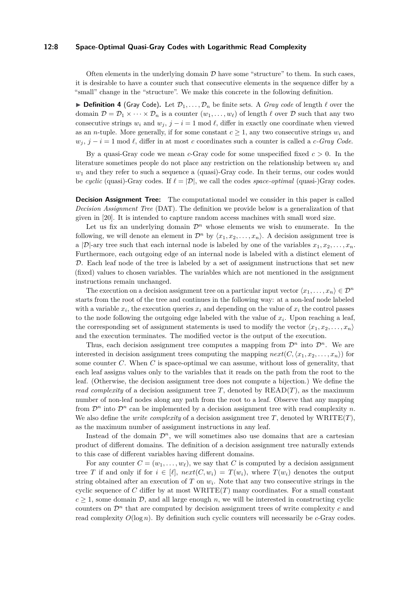#### **12:8 Space-Optimal Quasi-Gray Codes with Logarithmic Read Complexity**

Often elements in the underlying domain  $\mathcal D$  have some "structure" to them. In such cases, it is desirable to have a counter such that consecutive elements in the sequence differ by a "small" change in the "structure". We make this concrete in the following definition.

**Definition 4** (Gray Code). Let  $\mathcal{D}_1, \ldots, \mathcal{D}_n$  be finite sets. A *Gray code* of length  $\ell$  over the domain  $\mathcal{D} = \mathcal{D}_1 \times \cdots \times \mathcal{D}_n$  is a counter  $(w_1, \ldots, w_\ell)$  of length  $\ell$  over  $\mathcal D$  such that any two consecutive strings  $w_i$  and  $w_j$ ,  $j - i = 1 \text{ mod } \ell$ , differ in exactly one coordinate when viewed as an *n*-tuple. More generally, if for some constant  $c \geq 1$ , any two consecutive strings  $w_i$  and  $w_j$ ,  $j - i = 1$  mod  $\ell$ , differ in at most *c* coordinates such a counter is called a *c-Gray Code*.

By a quasi-Gray code we mean *c*-Gray code for some unspecified fixed *c >* 0. In the literature sometimes people do not place any restriction on the relationship between  $w_\ell$  and *w*<sup>1</sup> and they refer to such a sequence a (quasi)-Gray code. In their terms, our codes would be *cyclic* (quasi-)-Gray codes. If  $\ell = |\mathcal{D}|$ , we call the codes *space-optimal* (quasi-)Gray codes.

**Decision Assignment Tree:** The computational model we consider in this paper is called *Decision Assignment Tree* (DAT). The definition we provide below is a generalization of that given in [\[20\]](#page-12-4). It is intended to capture random access machines with small word size.

Let us fix an underlying domain  $\mathcal{D}^n$  whose elements we wish to enumerate. In the following, we will denote an element in  $\mathcal{D}^n$  by  $\langle x_1, x_2, \ldots, x_n \rangle$ . A decision assignment tree is a |D|-ary tree such that each internal node is labeled by one of the variables  $x_1, x_2, \ldots, x_n$ . Furthermore, each outgoing edge of an internal node is labeled with a distinct element of D. Each leaf node of the tree is labeled by a set of assignment instructions that set new (fixed) values to chosen variables. The variables which are not mentioned in the assignment instructions remain unchanged.

The execution on a decision assignment tree on a particular input vector  $\langle x_1, \ldots, x_n \rangle \in \mathcal{D}^n$ starts from the root of the tree and continues in the following way: at a non-leaf node labeled with a variable  $x_i$ , the execution queries  $x_i$  and depending on the value of  $x_i$  the control passes to the node following the outgoing edge labeled with the value of *x<sup>i</sup>* . Upon reaching a leaf, the corresponding set of assignment statements is used to modify the vector  $\langle x_1, x_2, \ldots, x_n \rangle$ and the execution terminates. The modified vector is the output of the execution.

Thus, each decision assignment tree computes a mapping from  $\mathcal{D}^n$  into  $\mathcal{D}^n$ . We are interested in decision assignment trees computing the mapping  $next(C, \langle x_1, x_2, \ldots, x_n \rangle)$  for some counter *C*. When *C* is space-optimal we can assume, without loss of generality, that each leaf assigns values only to the variables that it reads on the path from the root to the leaf. (Otherwise, the decision assignment tree does not compute a bijection.) We define the *read complexity* of a decision assignment tree *T*, denoted by  $READ(T)$ , as the maximum number of non-leaf nodes along any path from the root to a leaf. Observe that any mapping from  $\mathcal{D}^n$  into  $\mathcal{D}^n$  can be implemented by a decision assignment tree with read complexity *n*. We also define the *write complexity* of a decision assignment tree  $T$ , denoted by  $\text{WRITE}(T)$ , as the maximum number of assignment instructions in any leaf.

Instead of the domain  $\mathcal{D}^n$ , we will sometimes also use domains that are a cartesian product of different domains. The definition of a decision assignment tree naturally extends to this case of different variables having different domains.

For any counter  $C = (w_1, \ldots, w_\ell)$ , we say that C is computed by a decision assignment tree *T* if and only if for  $i \in [\ell], next(C, w_i) = T(w_i)$ , where  $T(w_i)$  denotes the output string obtained after an execution of  $T$  on  $w_i$ . Note that any two consecutive strings in the cyclic sequence of *C* differ by at most WRITE(*T*) many coordinates. For a small constant  $c \geq 1$ , some domain  $\mathcal{D}$ , and all large enough *n*, we will be interested in constructing cyclic counters on  $\mathcal{D}^n$  that are computed by decision assignment trees of write complexity *c* and read complexity  $O(\log n)$ . By definition such cyclic counters will necessarily be *c*-Gray codes.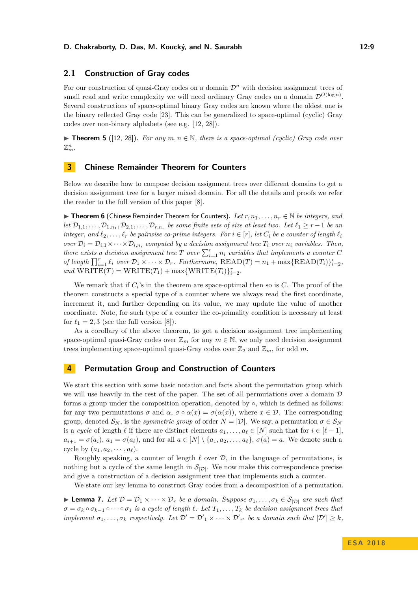### **2.1 Construction of Gray codes**

For our construction of quasi-Gray codes on a domain  $\mathcal{D}^n$  with decision assignment trees of small read and write complexity we will need ordinary Gray codes on a domain  $\mathcal{D}^{O(\log n)}$ . Several constructions of space-optimal binary Gray codes are known where the oldest one is the binary reflected Gray code [\[23\]](#page-13-1). This can be generalized to space-optimal (cyclic) Gray codes over non-binary alphabets (see e.g. [\[12,](#page-12-16) [28\]](#page-13-3)).

**► Theorem 5** ([\[12,](#page-12-16) [28\]](#page-13-3)). For any  $m, n \in \mathbb{N}$ , there is a space-optimal (cyclic) Gray code over  $\mathbb{Z}_m^n$ .

### **3 Chinese Remainder Theorem for Counters**

Below we describe how to compose decision assignment trees over different domains to get a decision assignment tree for a larger mixed domain. For all the details and proofs we refer the reader to the full version of this paper [\[8\]](#page-12-0).

I **Theorem 6** (Chinese Remainder Theorem for Counters)**.** *Let r, n*1*, . . . , n<sup>r</sup>* ∈ N *be integers, and let*  $\mathcal{D}_{1,1}, \ldots, \mathcal{D}_{1,n_1}, \mathcal{D}_{2,1}, \ldots, \mathcal{D}_{r,n_r}$  *be some finite sets of size at least two. Let*  $\ell_1 \geq r-1$  *be an integer, and*  $\ell_2, \ldots, \ell_r$  *be pairwise co-prime integers. For*  $i \in [r]$ *, let*  $C_i$  *be a counter of length*  $\ell_i$ *over*  $\mathcal{D}_i = \mathcal{D}_{i,1} \times \cdots \times \mathcal{D}_{i,n_i}$  *computed by a decision assignment tree*  $T_i$  *over*  $n_i$  *variables. Then, there exists a decision assignment tree T over*  $\sum_{i=1}^{r} n_i$  *variables that implements a counter C of length*  $\prod_{i=1}^r \ell_i$  *over*  $\mathcal{D}_1 \times \cdots \times \mathcal{D}_r$ *. Furthermore,*  $\text{READ}(T) = n_1 + \max\{\text{READ}(T_i)\}_{i=2}^r$ *,*  $and$   $\text{WRITE}(T) = \text{WRITE}(T_1) + \max{\text{WRITE}(T_i)}_{i=2}^r$ .

We remark that if  $C_i$ 's in the theorem are space-optimal then so is  $C$ . The proof of the theorem constructs a special type of a counter where we always read the first coordinate, increment it, and further depending on its value, we may update the value of another coordinate. Note, for such type of a counter the co-primality condition is necessary at least for  $\ell_1 = 2, 3$  (see the full version [\[8\]](#page-12-0)).

As a corollary of the above theorem, to get a decision assignment tree implementing space-optimal quasi-Gray codes over  $\mathbb{Z}_m$  for any  $m \in \mathbb{N}$ , we only need decision assignment trees implementing space-optimal quasi-Gray codes over  $\mathbb{Z}_2$  and  $\mathbb{Z}_m$ , for odd m.

### **4 Permutation Group and Construction of Counters**

We start this section with some basic notation and facts about the permutation group which we will use heavily in the rest of the paper. The set of all permutations over a domain  $D$ forms a group under the composition operation, denoted by ◦, which is defined as follows: for any two permutations  $\sigma$  and  $\alpha$ ,  $\sigma \circ \alpha(x) = \sigma(\alpha(x))$ , where  $x \in \mathcal{D}$ . The corresponding group, denoted  $S_N$ , is the *symmetric group* of order  $N = |\mathcal{D}|$ . We say, a permutation  $\sigma \in S_N$ is a *cycle* of length  $\ell$  if there are distinct elements  $a_1, \ldots, a_\ell \in [N]$  such that for  $i \in [\ell - 1]$ ,  $a_{i+1} = \sigma(a_i)$ ,  $a_1 = \sigma(a_\ell)$ , and for all  $a \in [N] \setminus \{a_1, a_2, \ldots, a_\ell\}$ ,  $\sigma(a) = a$ . We denote such a cycle by  $(a_1, a_2, \cdots, a_\ell)$ .

Roughly speaking, a counter of length  $\ell$  over  $\mathcal{D}$ , in the language of permutations, is nothing but a cycle of the same length in  $S_{|\mathcal{D}|}$ . We now make this correspondence precise and give a construction of a decision assignment tree that implements such a counter.

We state our key lemma to construct Gray codes from a decomposition of a permutation.

<span id="page-8-0"></span> $▶$  **Lemma 7.** *Let*  $D = D_1 \times \cdots \times D_r$  *be a domain. Suppose*  $\sigma_1, \ldots, \sigma_k \in S_{|D|}$  *are such that*  $\sigma = \sigma_k \circ \sigma_{k-1} \circ \cdots \circ \sigma_1$  *is a cycle of length*  $\ell$ *. Let*  $T_1, \ldots, T_k$  *be decision assignment trees that implement*  $\sigma_1, \ldots, \sigma_k$  *respectively. Let*  $\mathcal{D}' = \mathcal{D}'_1 \times \cdots \times \mathcal{D}'_{r'}$  *be a domain such that*  $|\mathcal{D}'| \geq k$ *,*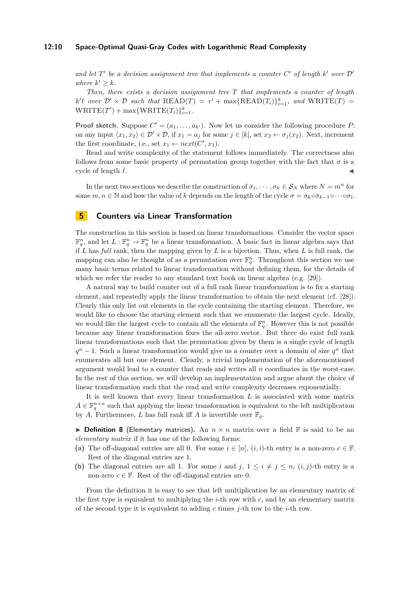#### **12:10 Space-Optimal Quasi-Gray Codes with Logarithmic Read Complexity**

and let  $T'$  be a decision assignment tree that implements a counter  $C'$  of length  $k'$  over  $D'$ *where*  $k' \geq k$ *.* 

*Then, there exists a decision assignment tree T that implements a counter of length*  $k' \ell$  over  $\mathcal{D}' \times \mathcal{D}$  such that  $\text{READ}(T) = r' + \max\{\text{READ}(T_i)\}_{i=1}^k$ , and  $\text{WRITE}(T) =$  $\text{WRITE}(T') + \max\{\text{WRITE}(T_i)\}_{i=1}^k$ .

**Proof sketch.** Suppose  $C' = (a_1, \ldots, a_{k'})$ . Now let us consider the following procedure P: on any input  $\langle x_1, x_2 \rangle \in \mathcal{D}' \times \mathcal{D}$ , if  $x_1 = a_j$  for some  $j \in [k]$ , set  $x_2 \leftarrow \sigma_j(x_2)$ . Next, increment the first coordinate, i.e., set  $x_1 \leftarrow next(C', x_1)$ .

Read and write complexity of the statement follows immediately. The correctness also follows from some basic property of permutation group together with the fact that  $\sigma$  is a cycle of length  $\ell$ .

In the next two sections we describe the construction of  $\sigma_1, \dots, \sigma_k \in \mathcal{S}_N$  where  $N = m^n$  for some  $m, n \in \mathbb{N}$  and how the value of *k* depends on the length of the cycle  $\sigma = \sigma_k \circ \sigma_{k-1} \circ \cdots \circ \sigma_1$ .

### <span id="page-9-0"></span>**5 Counters via Linear Transformation**

The construction in this section is based on linear transformations. Consider the vector space  $\mathbb{F}_q^n$ , and let  $L: \mathbb{F}_q^n \to \mathbb{F}_q^n$  be a linear transformation. A basic fact in linear algebra says that if *L* has *full* rank, then the mapping given by *L* is a bijection. Thus, when *L* is full rank, the mapping can also be thought of as a permutation over  $\mathbb{F}_q^n$ . Throughout this section we use many basic terms related to linear transformation without defining them, for the details of which we refer the reader to any standard text book on linear algebra (e.g. [\[29\]](#page-13-19)).

A natural way to build counter out of a full rank linear transformation is to fix a starting element, and repeatedly apply the linear transformation to obtain the next element (cf. [\[28\]](#page-13-3)). Clearly this only list out elements in the cycle containing the starting element. Therefore, we would like to choose the starting element such that we enumerate the largest cycle. Ideally, we would like the largest cycle to contain all the elements of  $\mathbb{F}_q^n$ . However this is not possible because any linear transformation fixes the all-zero vector. But there do exist full rank linear transformations such that the permutation given by them is a single cycle of length  $q^n - 1$ . Such a linear transformation would give us a counter over a domain of size  $q^n$  that enumerates all but one element. Clearly, a trivial implementation of the aforementioned argument would lead to a counter that reads and writes all *n* coordinates in the worst-case. In the rest of this section, we will develop an implementation and argue about the choice of linear transformation such that the read and write complexity decreases exponentially.

It is well known that every linear transformation *L* is associated with some matrix  $A \in \mathbb{F}_q^{n \times n}$  such that applying the linear transformation is equivalent to the left multiplication by *A*. Furthermore, *L* has full rank iff *A* is invertible over  $\mathbb{F}_q$ .

**Definition 8** (Elementary matrices). An  $n \times n$  matrix over a field  $\mathbb{F}$  is said to be an *elementary matrix* if it has one of the following forms:

- (a) The off-diagonal entries are all 0. For some  $i \in [n]$ ,  $(i, i)$ -th entry is a non-zero  $c \in \mathbb{F}$ . Rest of the diagonal entries are 1.
- **(b)** The diagonal entries are all 1. For some *i* and *j*,  $1 \leq i \neq j \leq n$ ,  $(i, j)$ -th entry is a non-zero  $c \in \mathbb{F}$ . Rest of the off-diagonal entries are 0.

From the definition it is easy to see that left multiplication by an elementary matrix of the first type is equivalent to multiplying the *i*-th row with *c*, and by an elementary matrix of the second type it is equivalent to adding *c* times *j*-th row to the *i*-th row.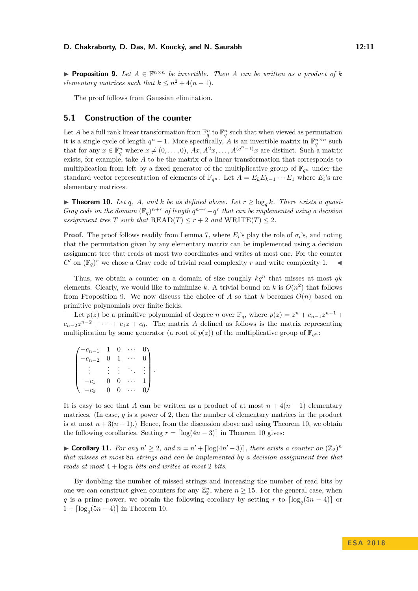<span id="page-10-0"></span>**Proposition 9.** Let  $A \in \mathbb{F}^{n \times n}$  be invertible. Then A can be written as a product of k *elementary matrices such that*  $k \leq n^2 + 4(n-1)$ *.* 

The proof follows from Gaussian elimination.

#### **5.1 Construction of the counter**

Let *A* be a full rank linear transformation from  $\mathbb{F}_q^n$  to  $\mathbb{F}_q^n$  such that when viewed as permutation it is a single cycle of length  $q^n - 1$ . More specifically, *A* is an invertible matrix in  $\mathbb{F}_q^{n \times n}$  such that for any  $x \in \mathbb{F}_q^n$  where  $x \neq (0, \ldots, 0)$ ,  $Ax, A^2x, \ldots, A^{(q^n-1)}x$  are distinct. Such a matrix exists, for example, take *A* to be the matrix of a linear transformation that corresponds to multiplication from left by a fixed generator of the multiplicative group of  $\mathbb{F}_{q^n}$  under the standard vector representation of elements of  $\mathbb{F}_{q^n}$ . Let  $A = E_k E_{k-1} \cdots E_1$  where  $E_i$ 's are elementary matrices.

<span id="page-10-1"></span>▶ **Theorem 10.** *Let q*, *A*, and *k be as defined above. Let*  $r$  ≥ log<sub>*a*</sub> *k. There exists a quasi-Gray code on the domain*  $(\mathbb{F}_q)^{n+r}$  *of length*  $q^{n+r} - q^r$  *that can be implemented using a decision assignment tree T such that*  $READ(T) \leq r + 2$  *and*  $WRITE(T) \leq 2$ *.* 

**Proof.** The proof follows readily from Lemma [7,](#page-8-0) where  $E_i$ 's play the role of  $\sigma_i$ 's, and noting that the permutation given by any elementary matrix can be implemented using a decision assignment tree that reads at most two coordinates and writes at most one. For the counter *C*' on  $(\mathbb{F}_q)^r$  we chose a Gray code of trivial read complexity *r* and write complexity 1.

Thus, we obtain a counter on a domain of size roughly  $kq^n$  that misses at most  $qk$ elements. Clearly, we would like to minimize k. A trivial bound on k is  $O(n^2)$  that follows from Proposition [9.](#page-10-0) We now discuss the choice of A so that k becomes  $O(n)$  based on primitive polynomials over finite fields.

Let  $p(z)$  be a primitive polynomial of degree *n* over  $\mathbb{F}_q$ , where  $p(z) = z^n + c_{n-1}z^{n-1} +$  $c_{n-2}z^{n-2} + \cdots + c_1z + c_0$ . The matrix *A* defined as follows is the matrix representing multiplication by some generator (a root of  $p(z)$ ) of the multiplicative group of  $\mathbb{F}_{q^n}$ :

| $c_{n-1}$ | -1       | J           |  |
|-----------|----------|-------------|--|
| $c_{n-2}$ | 0        | $\mathbf 1$ |  |
|           |          |             |  |
|           | $\theta$ | J           |  |
|           | 0.       | O.          |  |

It is easy to see that *A* can be written as a product of at most  $n + 4(n - 1)$  elementary matrices. (In case, *q* is a power of 2, then the number of elementary matrices in the product is at most  $n + 3(n - 1)$ .) Hence, from the discussion above and using Theorem [10,](#page-10-1) we obtain the following corollaries. Setting  $r = \lfloor \log(4n - 3) \rfloor$  in Theorem [10](#page-10-1) gives:

► **Corollary 11.** *For any*  $n' \geq 2$ *, and*  $n = n' + \lfloor \log(4n' - 3) \rfloor$ *, there exists a counter on*  $(\mathbb{Z}_2)^n$ *that misses at most* 8*n strings and can be implemented by a decision assignment tree that reads at most* 4 + log *n bits and writes at most* 2 *bits.*

By doubling the number of missed strings and increasing the number of read bits by one we can construct given counters for any  $\mathbb{Z}_2^n$ , where  $n \geq 15$ . For the general case, when *q* is a prime power, we obtain the following corollary by setting *r* to  $\lceil \log_q(5n - 4) \rceil$  or  $1 + \lceil \log_q(5n - 4) \rceil$  in Theorem [10.](#page-10-1)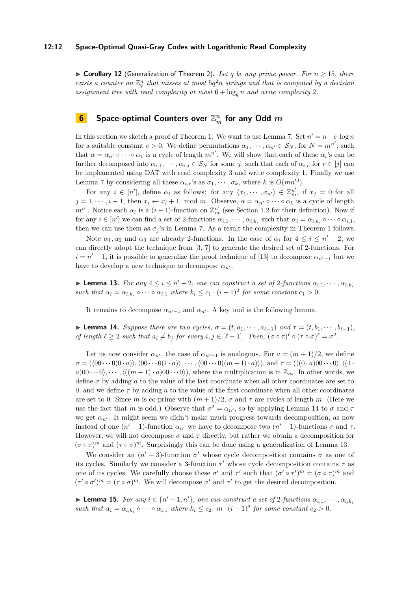#### **12:12 Space-Optimal Quasi-Gray Codes with Logarithmic Read Complexity**

▶ **Corollary 12** (Generalization of Theorem [2\)](#page-2-1). Let q be any prime power. For  $n \ge 15$ , there exists a counter on  $\mathbb{Z}_q^n$  that misses at most  $5q^2n$  strings and that is computed by a decision *assignment tree with read complexity at most*  $6 + \log_a n$  *and write complexity* 2*.* 

## <span id="page-11-0"></span>**6 Space-optimal Counters over**  $\mathbb{Z}_m^n$  **for any Odd**  $m$

In this section we sketch a proof of Theorem [1.](#page-2-0) We want to use Lemma [7.](#page-8-0) Set  $n' = n - c \cdot \log n$ for a suitable constant  $c > 0$ . We define permutations  $\alpha_1, \dots, \alpha_{n'} \in \mathcal{S}_N$ , for  $N = m^{n'}$ , such that  $\alpha = \alpha_{n'} \circ \cdots \circ \alpha_1$  is a cycle of length  $m^{n'}$ . We will show that each of these  $\alpha_i$ 's can be further decomposed into  $\alpha_{i,1}, \dots, \alpha_{i,j} \in S_N$  for some *j*, such that each of  $\alpha_{i,r}$  for  $r \in [j]$  can be implemented using DAT with read complexity 3 and write complexity 1. Finally we use Lemma [7](#page-8-0) by considering all these  $\alpha_{i,r}$ 's as  $\sigma_1, \cdots, \sigma_k$ , where *k* is  $O(mn^{3})$ .

For any  $i \in [n']$ , define  $\alpha_i$  as follows: for any  $\langle x_1, \dots, x_{n'} \rangle \in \mathbb{Z}_m^{n'}$ , if  $x_j = 0$  for all  $j = 1, \dots, i - 1$ , then  $x_i \leftarrow x_i + 1 \mod m$ . Observe,  $\alpha = \alpha_{n'} \circ \dots \circ \alpha_1$  is a cycle of length  $m^{n'}$ . Notice each  $\alpha_i$  is a  $(i-1)$ -function on  $\mathbb{Z}_m^{n'}$  (see Section [1.2](#page-4-1) for their definition). Now if for any  $i \in [n']$  we can find a set of 2-functions  $\alpha_{i,1}, \dots, \alpha_{i,k_i}$  such that  $\alpha_i = \alpha_{i,k_i} \circ \dots \circ \alpha_{i,1}$ , then we can use them as  $\sigma_j$ 's in Lemma [7.](#page-8-0) As a result the complexity in Theorem [1](#page-2-0) follows.

Note  $\alpha_1, \alpha_2$  and  $\alpha_3$  are already 2-functions. In the case of  $\alpha_i$  for  $4 \leq i \leq n'-2$ , we can directly adopt the technique from [\[3,](#page-12-15) [7\]](#page-12-12) to generate the desired set of 2-functions. For  $i = n' - 1$ , it is possible to generalize the proof technique of [\[13\]](#page-12-13) to decompose  $\alpha_{n'-1}$  but we have to develop a new technique to decompose  $\alpha_{n'}$ .

<span id="page-11-2"></span>► **Lemma 13.** For any  $4 \le i \le n' - 2$ , one can construct a set of 2-functions  $\alpha_{i,1}, \dots, \alpha_{i,k_i}$ *such that*  $\alpha_i = \alpha_{i,k_i} \circ \cdots \circ \alpha_{i,1}$  *where*  $k_i \leq c_1 \cdot (i-1)^2$  *for some constant*  $c_1 > 0$ *.* 

It remains to decompose  $\alpha_{n'-1}$  and  $\alpha_{n'}$ . A key tool is the following lemma.

<span id="page-11-1"></span> $\blacktriangleright$  **Lemma 14.** *Suppose there are two cycles,*  $\sigma = (t, a_1, \cdots, a_{\ell-1})$  *and*  $\tau = (t, b_1, \cdots, b_{\ell-1})$ *,* of length  $\ell \geq 2$  such that  $a_i \neq b_j$  for every  $i, j \in [\ell - 1]$ . Then,  $(\sigma \circ \tau)^{\ell} \circ (\tau \circ \sigma)^{\ell} = \sigma^2$ .

Let us now consider  $\alpha_{n'}$ , the case of  $\alpha_{n'-1}$  is analogous. For  $a = (m+1)/2$ , we define  $\sigma = (\langle 00 \cdots 0(0 \cdot a) \rangle, \langle 00 \cdots 0(1 \cdot a) \rangle, \cdots, \langle 00 \cdots 0((m-1) \cdot a) \rangle), \text{ and } \tau = (\langle (0 \cdot a) 00 \cdots 0 \rangle, \langle (1 \cdot a) 0 \cdot \cdots 0] \rangle)$  $a)$ 00 · · · 0 $\langle$ , · · ·  $\langle$  ( $(m-1) \cdot a$ )00 · · · 0 $\rangle$ ), where the multiplication is in  $\mathbb{Z}_m$ . In other words, we define  $\sigma$  by adding  $\alpha$  to the value of the last coordinate when all other coordinates are set to 0, and we define *τ* by adding *a* to the value of the first coordinate when all other coordinates are set to 0. Since *m* is co-prime with  $(m+1)/2$ ,  $\sigma$  and  $\tau$  are cycles of length *m*. (Here we use the fact that *m* is odd.) Observe that  $\sigma^2 = \alpha_{n'}$ , so by applying Lemma [14](#page-11-1) to  $\sigma$  and  $\tau$ we get  $\alpha_{n'}$ . It might seem we didn't make much progress towards decomposition, as now instead of one  $(n' - 1)$ -function  $\alpha_{n'}$  we have to decompose two  $(n' - 1)$ -functions  $\sigma$  and  $\tau$ . However, we will not decompose  $\sigma$  and  $\tau$  directly, but rather we obtain a decomposition for  $(\sigma \circ \tau)^m$  and  $(\tau \circ \sigma)^m$ . Surprisingly this can be done using a generalization of Lemma [13.](#page-11-2)

We consider an  $(n' - 3)$ -function  $\sigma'$  whose cycle decomposition contains  $\sigma$  as one of its cycles. Similarly we consider a 3-function  $\tau'$  whose cycle decomposition contains  $\tau$  as one of its cycles. We carefully choose these  $\sigma'$  and  $\tau'$  such that  $(\sigma' \circ \tau')^m = (\sigma \circ \tau)^m$  and  $(\tau' \circ \sigma')^m = (\tau \circ \sigma)^m$ . We will decompose  $\sigma'$  and  $\tau'$  to get the desired decomposition.

► **Lemma 15.** For any  $i \in \{n' - 1, n'\}$ , one can construct a set of 2-functions  $\alpha_{i,1}, \dots, \alpha_{i,k_i}$ *such that*  $\alpha_i = \alpha_{i,k_i} \circ \cdots \circ \alpha_{i,1}$  *where*  $k_i \leq c_2 \cdot m \cdot (i-1)^2$  *for some constant*  $c_2 > 0$ *.*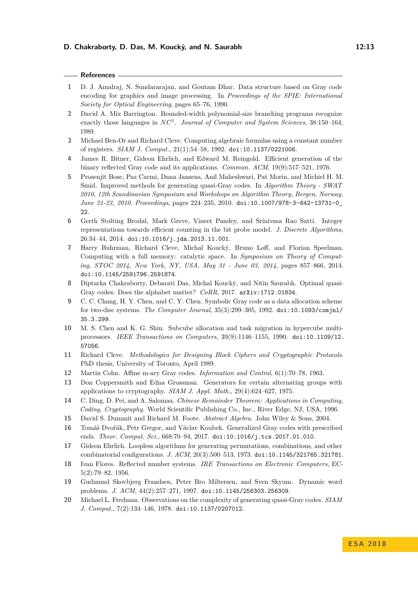#### **References**

- <span id="page-12-3"></span>**1** D. J. Amalraj, N. Sundararajan, and Goutam Dhar. Data structure based on Gray code encoding for graphics and image processing. In *Proceedings of the SPIE: International Society for Optical Engineering*, pages 65–76, 1990.
- <span id="page-12-14"></span>**2** David A. Mix Barrington. Bounded-width polynomial-size branching programs recognize exactly those languages in *NC*<sup>1</sup> . *Journal of Computer and System Sciences*, 38:150–164, 1989.
- <span id="page-12-15"></span>**3** Michael Ben-Or and Richard Cleve. Computing algebraic formulas using a constant number of registers. *SIAM J. Comput.*, 21(1):54–58, 1992. [doi:10.1137/0221006](http://dx.doi.org/10.1137/0221006).
- <span id="page-12-8"></span>**4** James R. Bitner, Gideon Ehrlich, and Edward M. Reingold. Efficient generation of the binary reflected Gray code and its applications. *Commun. ACM*, 19(9):517–521, 1976.
- <span id="page-12-5"></span>**5** Prosenjit Bose, Paz Carmi, Dana Jansens, Anil Maheshwari, Pat Morin, and Michiel H. M. Smid. Improved methods for generating quasi-Gray codes. In *Algorithm Theory - SWAT 2010, 12th Scandinavian Symposium and Workshops on Algorithm Theory, Bergen, Norway, June 21-23, 2010. Proceedings*, pages 224–235, 2010. [doi:10.1007/978-3-642-13731-0\\_](http://dx.doi.org/10.1007/978-3-642-13731-0_22) [22](http://dx.doi.org/10.1007/978-3-642-13731-0_22).
- <span id="page-12-6"></span>**6** Gerth Stølting Brodal, Mark Greve, Vineet Pandey, and Srinivasa Rao Satti. Integer representations towards efficient counting in the bit probe model. *J. Discrete Algorithms*, 26:34–44, 2014. [doi:10.1016/j.jda.2013.11.001](http://dx.doi.org/10.1016/j.jda.2013.11.001).
- <span id="page-12-12"></span>**7** Harry Buhrman, Richard Cleve, Michal Koucký, Bruno Loff, and Florian Speelman. Computing with a full memory: catalytic space. In *Symposium on Theory of Computing, STOC 2014, New York, NY, USA, May 31 - June 03, 2014*, pages 857–866, 2014. [doi:10.1145/2591796.2591874](http://dx.doi.org/10.1145/2591796.2591874).
- <span id="page-12-0"></span>**8** Diptarka Chakraborty, Debarati Das, Michal Koucký, and Nitin Saurabh. Optimal quasi-Gray codes: Does the alphabet matter? *CoRR*, 2017. [arXiv:1712.01834](http://arxiv.org/abs/1712.01834).
- <span id="page-12-1"></span>**9** C. C. Chang, H. Y. Chen, and C. Y. Chen. Symbolic Gray code as a data allocation scheme for two-disc systems. *The Computer Journal*, 35(3):299–305, 1992. [doi:10.1093/comjnl/](http://dx.doi.org/10.1093/comjnl/35.3.299) [35.3.299](http://dx.doi.org/10.1093/comjnl/35.3.299).
- <span id="page-12-2"></span>**10** M. S. Chen and K. G. Shin. Subcube allocation and task migration in hypercube multiprocessors. *IEEE Transactions on Computers*, 39(9):1146–1155, 1990. [doi:10.1109/12.](http://dx.doi.org/10.1109/12.57056) [57056](http://dx.doi.org/10.1109/12.57056).
- <span id="page-12-18"></span>**11** Richard Cleve. *Methodologies for Designing Block Ciphers and Cryptographic Protocols*. PhD thesis, University of Toronto, April 1989.
- <span id="page-12-16"></span>**12** Martin Cohn. Affine m-ary Gray codes. *Information and Control*, 6(1):70–78, 1963.
- <span id="page-12-13"></span>**13** Don Coppersmith and Edna Grossman. Generators for certain alternating groups with applications to cryptography. *SIAM J. Appl. Math.*, 29(4):624–627, 1975.
- <span id="page-12-11"></span>**14** C. Ding, D. Pei, and A. Salomaa. *Chinese Remainder Theorem: Applications in Computing, Coding, Cryptography*. World Scientific Publishing Co., Inc., River Edge, NJ, USA, 1996.
- <span id="page-12-19"></span>**15** David S. Dummit and Richard M. Foote. *Abstract Algebra*. John Wiley & Sons, 2004.
- <span id="page-12-9"></span>**16** Tomáš Dvořák, Petr Gregor, and Václav Koubek. Generalized Gray codes with prescribed ends. *Theor. Comput. Sci.*, 668:70–94, 2017. [doi:10.1016/j.tcs.2017.01.010](http://dx.doi.org/10.1016/j.tcs.2017.01.010).
- <span id="page-12-7"></span>**17** Gideon Ehrlich. Loopless algorithms for generating permutations, combinations, and other combinatorial configurations. *J. ACM*, 20(3):500–513, 1973. [doi:10.1145/321765.321781](http://dx.doi.org/10.1145/321765.321781).
- <span id="page-12-17"></span>**18** Ivan Flores. Reflected number systems. *IRE Transactions on Electronic Computers*, EC-5(2):79–82, 1956.
- <span id="page-12-10"></span>**19** Gudmund Skovbjerg Frandsen, Peter Bro Miltersen, and Sven Skyum. Dynamic word problems. *J. ACM*, 44(2):257–271, 1997. [doi:10.1145/256303.256309](http://dx.doi.org/10.1145/256303.256309).
- <span id="page-12-4"></span>**20** Michael L. Fredman. Observations on the complexity of generating quasi-Gray codes. *SIAM J. Comput.*, 7(2):134–146, 1978. [doi:10.1137/0207012](http://dx.doi.org/10.1137/0207012).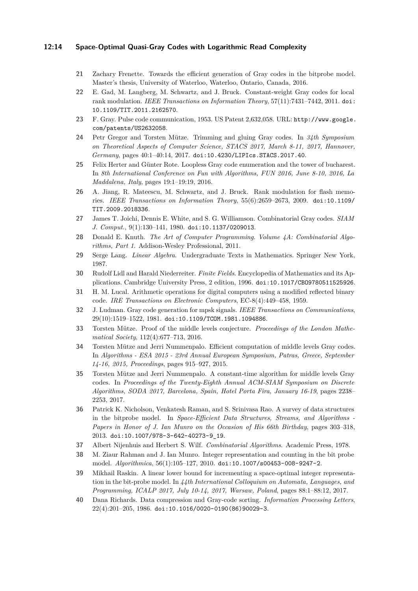#### **12:14 Space-Optimal Quasi-Gray Codes with Logarithmic Read Complexity**

- <span id="page-13-11"></span>**21** Zachary Frenette. Towards the efficient generation of Gray codes in the bitprobe model. Master's thesis, University of Waterloo, Waterloo, Ontario, Canada, 2016.
- <span id="page-13-7"></span>**22** E. Gad, M. Langberg, M. Schwartz, and J. Bruck. Constant-weight Gray codes for local rank modulation. *IEEE Transactions on Information Theory*, 57(11):7431–7442, 2011. [doi:](http://dx.doi.org/10.1109/TIT.2011.2162570) [10.1109/TIT.2011.2162570](http://dx.doi.org/10.1109/TIT.2011.2162570).
- <span id="page-13-1"></span>**23** F. Gray. Pulse code communication, 1953. US Patent 2,632,058. URL: [http://www.google.](http://www.google.com/patents/US2632058) [com/patents/US2632058](http://www.google.com/patents/US2632058).
- <span id="page-13-10"></span>**24** Petr Gregor and Torsten Mütze. Trimming and gluing Gray codes. In *34th Symposium on Theoretical Aspects of Computer Science, STACS 2017, March 8-11, 2017, Hannover, Germany*, pages 40:1–40:14, 2017. [doi:10.4230/LIPIcs.STACS.2017.40](http://dx.doi.org/10.4230/LIPIcs.STACS.2017.40).
- <span id="page-13-14"></span>**25** Felix Herter and Günter Rote. Loopless Gray code enumeration and the tower of bucharest. In *8th International Conference on Fun with Algorithms, FUN 2016, June 8-10, 2016, La Maddalena, Italy*, pages 19:1–19:19, 2016.
- <span id="page-13-6"></span>**26** A. Jiang, R. Mateescu, M. Schwartz, and J. Bruck. Rank modulation for flash memories. *IEEE Transactions on Information Theory*, 55(6):2659–2673, 2009. [doi:10.1109/](http://dx.doi.org/10.1109/TIT.2009.2018336) [TIT.2009.2018336](http://dx.doi.org/10.1109/TIT.2009.2018336).
- <span id="page-13-13"></span>**27** James T. Joichi, Dennis E. White, and S. G. Williamson. Combinatorial Gray codes. *SIAM J. Comput.*, 9(1):130–141, 1980. [doi:10.1137/0209013](http://dx.doi.org/10.1137/0209013).
- <span id="page-13-3"></span>**28** Donald E. Knuth. *The Art of Computer Programming. Volume 4A: Combinatorial Algorithms, Part 1*. Addison-Wesley Professional, 2011.
- <span id="page-13-19"></span>**29** Serge Lang. *Linear Algebra*. Undergraduate Texts in Mathematics. Springer New York, 1987.
- <span id="page-13-18"></span>**30** Rudolf Lidl and Harald Niederreiter. *Finite Fields*. Encyclopedia of Mathematics and its Applications. Cambridge University Press, 2 edition, 1996. [doi:10.1017/CBO9780511525926](http://dx.doi.org/10.1017/CBO9780511525926).
- <span id="page-13-12"></span>**31** H. M. Lucal. Arithmetic operations for digital computers using a modified reflected binary code. *IRE Transactions on Electronic Computers*, EC-8(4):449–458, 1959.
- <span id="page-13-5"></span>**32** J. Ludman. Gray code generation for mpsk signals. *IEEE Transactions on Communications*, 29(10):1519–1522, 1981. [doi:10.1109/TCOM.1981.1094886](http://dx.doi.org/10.1109/TCOM.1981.1094886).
- <span id="page-13-15"></span>**33** Torsten Mütze. Proof of the middle levels conjecture. *Proceedings of the London Mathematical Society*, 112(4):677–713, 2016.
- <span id="page-13-16"></span>**34** Torsten Mütze and Jerri Nummenpalo. Efficient computation of middle levels Gray codes. In *Algorithms - ESA 2015 - 23rd Annual European Symposium, Patras, Greece, September 14-16, 2015, Proceedings*, pages 915–927, 2015.
- <span id="page-13-17"></span>**35** Torsten Mütze and Jerri Nummenpalo. A constant-time algorithm for middle levels Gray codes. In *Proceedings of the Twenty-Eighth Annual ACM-SIAM Symposium on Discrete Algorithms, SODA 2017, Barcelona, Spain, Hotel Porta Fira, January 16-19*, pages 2238– 2253, 2017.
- <span id="page-13-9"></span>**36** Patrick K. Nicholson, Venkatesh Raman, and S. Srinivasa Rao. A survey of data structures in the bitprobe model. In *Space-Efficient Data Structures, Streams, and Algorithms - Papers in Honor of J. Ian Munro on the Occasion of His 66th Birthday*, pages 303–318, 2013. [doi:10.1007/978-3-642-40273-9\\_19](http://dx.doi.org/10.1007/978-3-642-40273-9_19).
- <span id="page-13-2"></span>**37** Albert Nijenhuis and Herbert S. Wilf. *Combinatorial Algorithms*. Academic Press, 1978.
- <span id="page-13-8"></span>**38** M. Ziaur Rahman and J. Ian Munro. Integer representation and counting in the bit probe model. *Algorithmica*, 56(1):105–127, 2010. [doi:10.1007/s00453-008-9247-2](http://dx.doi.org/10.1007/s00453-008-9247-2).
- <span id="page-13-0"></span>**39** Mikhail Raskin. A linear lower bound for incrementing a space-optimal integer representation in the bit-probe model. In *44th International Colloquium on Automata, Languages, and Programming, ICALP 2017, July 10-14, 2017, Warsaw, Poland*, pages 88:1–88:12, 2017.
- <span id="page-13-4"></span>**40** Dana Richards. Data compression and Gray-code sorting. *Information Processing Letters*, 22(4):201–205, 1986. [doi:10.1016/0020-0190\(86\)90029-3](http://dx.doi.org/10.1016/0020-0190(86)90029-3).